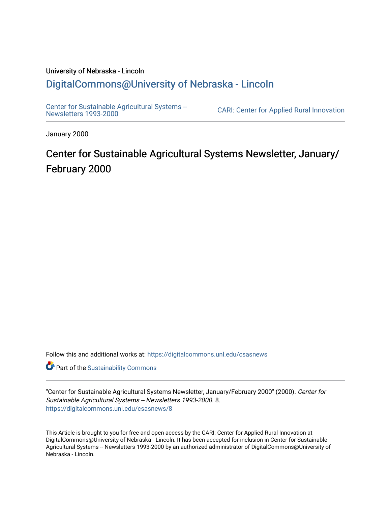#### University of Nebraska - Lincoln [DigitalCommons@University of Nebraska - Lincoln](https://digitalcommons.unl.edu/)

[Center for Sustainable Agricultural Systems --](https://digitalcommons.unl.edu/csasnews)<br>Newsletters 1993-2000

CARI: Center for Applied Rural Innovation

January 2000

# Center for Sustainable Agricultural Systems Newsletter, January/ February 2000

Follow this and additional works at: [https://digitalcommons.unl.edu/csasnews](https://digitalcommons.unl.edu/csasnews?utm_source=digitalcommons.unl.edu%2Fcsasnews%2F8&utm_medium=PDF&utm_campaign=PDFCoverPages) 

**Part of the [Sustainability Commons](http://network.bepress.com/hgg/discipline/1031?utm_source=digitalcommons.unl.edu%2Fcsasnews%2F8&utm_medium=PDF&utm_campaign=PDFCoverPages)** 

"Center for Sustainable Agricultural Systems Newsletter, January/February 2000" (2000). Center for Sustainable Agricultural Systems -- Newsletters 1993-2000. 8. [https://digitalcommons.unl.edu/csasnews/8](https://digitalcommons.unl.edu/csasnews/8?utm_source=digitalcommons.unl.edu%2Fcsasnews%2F8&utm_medium=PDF&utm_campaign=PDFCoverPages) 

This Article is brought to you for free and open access by the CARI: Center for Applied Rural Innovation at DigitalCommons@University of Nebraska - Lincoln. It has been accepted for inclusion in Center for Sustainable Agricultural Systems -- Newsletters 1993-2000 by an authorized administrator of DigitalCommons@University of Nebraska - Lincoln.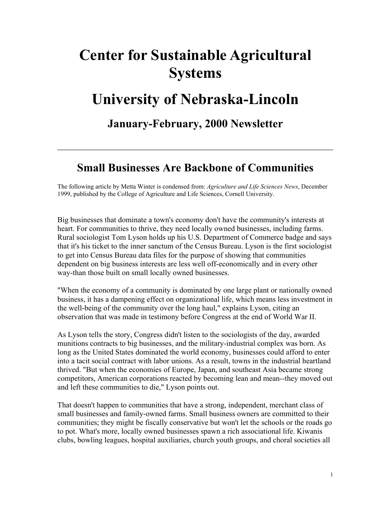# **Center for Sustainable Agricultural Systems**

# **University of Nebraska-Lincoln**

**January-February, 2000 Newsletter**

#### **Small Businesses Are Backbone of Communities**

The following article by Metta Winter is condensed from: *Agriculture and Life Sciences News*, December 1999, published by the College of Agriculture and Life Sciences, Cornell University.

Big businesses that dominate a town's economy don't have the community's interests at heart. For communities to thrive, they need locally owned businesses, including farms. Rural sociologist Tom Lyson holds up his U.S. Department of Commerce badge and says that it's his ticket to the inner sanctum of the Census Bureau. Lyson is the first sociologist to get into Census Bureau data files for the purpose of showing that communities dependent on big business interests are less well off-economically and in every other way-than those built on small locally owned businesses.

"When the economy of a community is dominated by one large plant or nationally owned business, it has a dampening effect on organizational life, which means less investment in the well-being of the community over the long haul," explains Lyson, citing an observation that was made in testimony before Congress at the end of World War II.

As Lyson tells the story, Congress didn't listen to the sociologists of the day, awarded munitions contracts to big businesses, and the military-industrial complex was born. As long as the United States dominated the world economy, businesses could afford to enter into a tacit social contract with labor unions. As a result, towns in the industrial heartland thrived. "But when the economies of Europe, Japan, and southeast Asia became strong competitors, American corporations reacted by becoming lean and mean--they moved out and left these communities to die," Lyson points out.

That doesn't happen to communities that have a strong, independent, merchant class of small businesses and family-owned farms. Small business owners are committed to their communities; they might be fiscally conservative but won't let the schools or the roads go to pot. What's more, locally owned businesses spawn a rich associational life. Kiwanis clubs, bowling leagues, hospital auxiliaries, church youth groups, and choral societies all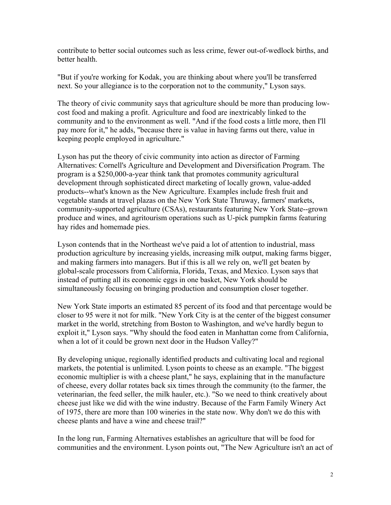contribute to better social outcomes such as less crime, fewer out-of-wedlock births, and better health.

"But if you're working for Kodak, you are thinking about where you'll be transferred next. So your allegiance is to the corporation not to the community," Lyson says.

The theory of civic community says that agriculture should be more than producing lowcost food and making a profit. Agriculture and food are inextricably linked to the community and to the environment as well. "And if the food costs a little more, then I'll pay more for it," he adds, "because there is value in having farms out there, value in keeping people employed in agriculture."

Lyson has put the theory of civic community into action as director of Farming Alternatives: Cornell's Agriculture and Development and Diversification Program. The program is a \$250,000-a-year think tank that promotes community agricultural development through sophisticated direct marketing of locally grown, value-added products--what's known as the New Agriculture. Examples include fresh fruit and vegetable stands at travel plazas on the New York State Thruway, farmers' markets, community-supported agriculture (CSAs), restaurants featuring New York State--grown produce and wines, and agritourism operations such as U-pick pumpkin farms featuring hay rides and homemade pies.

Lyson contends that in the Northeast we've paid a lot of attention to industrial, mass production agriculture by increasing yields, increasing milk output, making farms bigger, and making farmers into managers. But if this is all we rely on, we'll get beaten by global-scale processors from California, Florida, Texas, and Mexico. Lyson says that instead of putting all its economic eggs in one basket, New York should be simultaneously focusing on bringing production and consumption closer together.

New York State imports an estimated 85 percent of its food and that percentage would be closer to 95 were it not for milk. "New York City is at the center of the biggest consumer market in the world, stretching from Boston to Washington, and we've hardly begun to exploit it," Lyson says. "Why should the food eaten in Manhattan come from California, when a lot of it could be grown next door in the Hudson Valley?"

By developing unique, regionally identified products and cultivating local and regional markets, the potential is unlimited. Lyson points to cheese as an example. "The biggest economic multiplier is with a cheese plant," he says, explaining that in the manufacture of cheese, every dollar rotates back six times through the community (to the farmer, the veterinarian, the feed seller, the milk hauler, etc.). "So we need to think creatively about cheese just like we did with the wine industry. Because of the Farm Family Winery Act of 1975, there are more than 100 wineries in the state now. Why don't we do this with cheese plants and have a wine and cheese trail?"

In the long run, Farming Alternatives establishes an agriculture that will be food for communities and the environment. Lyson points out, "The New Agriculture isn't an act of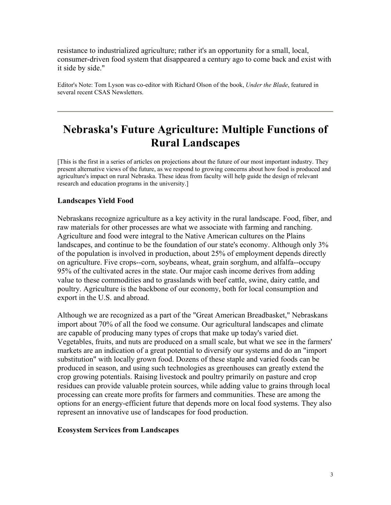resistance to industrialized agriculture; rather it's an opportunity for a small, local, consumer-driven food system that disappeared a century ago to come back and exist with it side by side."

Editor's Note: Tom Lyson was co-editor with Richard Olson of the book, *Under the Blade*, featured in several recent CSAS Newsletters.

### **Nebraska's Future Agriculture: Multiple Functions of Rural Landscapes**

[This is the first in a series of articles on projections about the future of our most important industry. They present alternative views of the future, as we respond to growing concerns about how food is produced and agriculture's impact on rural Nebraska. These ideas from faculty will help guide the design of relevant research and education programs in the university.]

#### **Landscapes Yield Food**

Nebraskans recognize agriculture as a key activity in the rural landscape. Food, fiber, and raw materials for other processes are what we associate with farming and ranching. Agriculture and food were integral to the Native American cultures on the Plains landscapes, and continue to be the foundation of our state's economy. Although only 3% of the population is involved in production, about 25% of employment depends directly on agriculture. Five crops--corn, soybeans, wheat, grain sorghum, and alfalfa--occupy 95% of the cultivated acres in the state. Our major cash income derives from adding value to these commodities and to grasslands with beef cattle, swine, dairy cattle, and poultry. Agriculture is the backbone of our economy, both for local consumption and export in the U.S. and abroad.

Although we are recognized as a part of the "Great American Breadbasket," Nebraskans import about 70% of all the food we consume. Our agricultural landscapes and climate are capable of producing many types of crops that make up today's varied diet. Vegetables, fruits, and nuts are produced on a small scale, but what we see in the farmers' markets are an indication of a great potential to diversify our systems and do an "import substitution" with locally grown food. Dozens of these staple and varied foods can be produced in season, and using such technologies as greenhouses can greatly extend the crop growing potentials. Raising livestock and poultry primarily on pasture and crop residues can provide valuable protein sources, while adding value to grains through local processing can create more profits for farmers and communities. These are among the options for an energy-efficient future that depends more on local food systems. They also represent an innovative use of landscapes for food production.

#### **Ecosystem Services from Landscapes**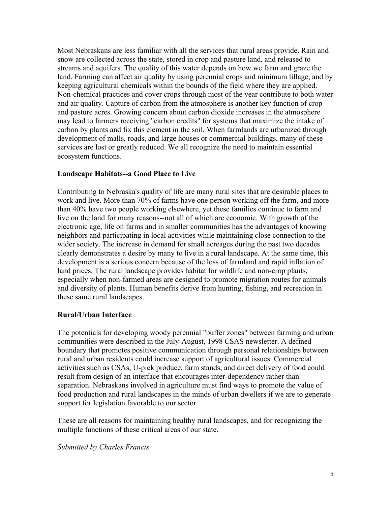Most Nebraskans are less familiar with all the services that rural areas provide. Rain and snow are collected across the state, stored in crop and pasture land, and released to streams and aquifers. The quality of this water depends on how we farm and graze the land. Farming can affect air quality by using perennial crops and minimum tillage, and by keeping agricultural chemicals within the bounds of the field where they are applied. Non-chemical practices and cover crops through most of the year contribute to both water and air quality. Capture of carbon from the atmosphere is another key function of crop and pasture acres. Growing concern about carbon dioxide increases in the atmosphere may lead to farmers receiving "carbon credits" for systems that maximize the intake of carbon by plants and fix this element in the soil. When farmlands are urbanized through development of malls, roads, and large houses or commercial buildings, many of these services are lost or greatly reduced. We all recognize the need to maintain essential ecosystem functions.

#### **Landscape Habitats--a Good Place to Live**

Contributing to Nebraska's quality of life are many rural sites that are desirable places to work and live. More than 70% of farms have one person working off the farm, and more than 40% have two people working elsewhere, yet these families continue to farm and live on the land for many reasons--not all of which are economic. With growth of the electronic age, life on farms and in smaller communities has the advantages of knowing neighbors and participating in local activities while maintaining close connection to the wider society. The increase in demand for small acreages during the past two decades clearly demonstrates a desire by many to live in a rural landscape. At the same time, this development is a serious concern because of the loss of farmland and rapid inflation of land prices. The rural landscape provides habitat for wildlife and non-crop plants, especially when non-farmed areas are designed to promote migration routes for animals and diversity of plants. Human benefits derive from hunting, fishing, and recreation in these same rural landscapes.

#### **Rural/Urban Interface**

The potentials for developing woody perennial "buffer zones" between farming and urban communities were described in the July-August, 1998 CSAS newsletter. A defined boundary that promotes positive communication through personal relationships between rural and urban residents could increase support of agricultural issues. Commercial activities such as CSAs, U-pick produce, farm stands, and direct delivery of food could result from design of an interface that encourages inter-dependency rather than separation. Nebraskans involved in agriculture must find ways to promote the value of food production and rural landscapes in the minds of urban dwellers if we are to generate support for legislation favorable to our sector.

These are all reasons for maintaining healthy rural landscapes, and for recognizing the multiple functions of these critical areas of our state.

*Submitted by Charles Francis*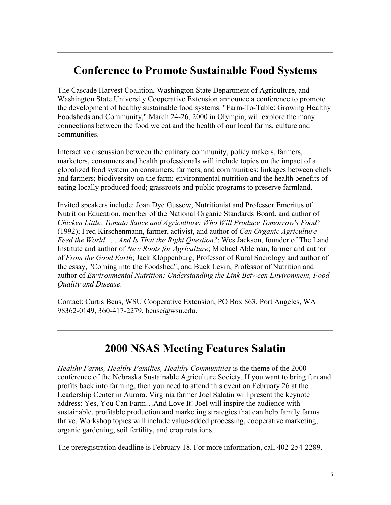# **Conference to Promote Sustainable Food Systems**

The Cascade Harvest Coalition, Washington State Department of Agriculture, and Washington State University Cooperative Extension announce a conference to promote the development of healthy sustainable food systems. "Farm-To-Table: Growing Healthy Foodsheds and Community," March 24-26, 2000 in Olympia, will explore the many connections between the food we eat and the health of our local farms, culture and communities.

Interactive discussion between the culinary community, policy makers, farmers, marketers, consumers and health professionals will include topics on the impact of a globalized food system on consumers, farmers, and communities; linkages between chefs and farmers; biodiversity on the farm; environmental nutrition and the health benefits of eating locally produced food; grassroots and public programs to preserve farmland.

Invited speakers include: Joan Dye Gussow, Nutritionist and Professor Emeritus of Nutrition Education, member of the National Organic Standards Board, and author of *Chicken Little, Tomato Sauce and Agriculture: Who Will Produce Tomorrow's Food?*  (1992); Fred Kirschenmann, farmer, activist, and author of *Can Organic Agriculture Feed the World . . . And Is That the Right Question?*; Wes Jackson, founder of The Land Institute and author of *New Roots for Agriculture*; Michael Ableman, farmer and author of *From the Good Earth*; Jack Kloppenburg, Professor of Rural Sociology and author of the essay, "Coming into the Foodshed"; and Buck Levin, Professor of Nutrition and author of *Environmental Nutrition: Understanding the Link Between Environment, Food Quality and Disease*.

Contact: Curtis Beus, WSU Cooperative Extension, PO Box 863, Port Angeles, WA 98362-0149, 360-417-2279, beusc@wsu.edu.

### **2000 NSAS Meeting Features Salatin**

*Healthy Farms, Healthy Families, Healthy Communities* is the theme of the 2000 conference of the Nebraska Sustainable Agriculture Society. If you want to bring fun and profits back into farming, then you need to attend this event on February 26 at the Leadership Center in Aurora. Virginia farmer Joel Salatin will present the keynote address: Yes, You Can Farm…And Love It! Joel will inspire the audience with sustainable, profitable production and marketing strategies that can help family farms thrive. Workshop topics will include value-added processing, cooperative marketing, organic gardening, soil fertility, and crop rotations.

The preregistration deadline is February 18. For more information, call 402-254-2289.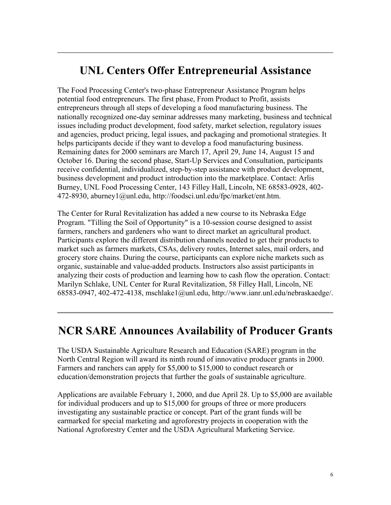### **UNL Centers Offer Entrepreneurial Assistance**

The Food Processing Center's two-phase Entrepreneur Assistance Program helps potential food entrepreneurs. The first phase, From Product to Profit, assists entrepreneurs through all steps of developing a food manufacturing business. The nationally recognized one-day seminar addresses many marketing, business and technical issues including product development, food safety, market selection, regulatory issues and agencies, product pricing, legal issues, and packaging and promotional strategies. It helps participants decide if they want to develop a food manufacturing business. Remaining dates for 2000 seminars are March 17, April 29, June 14, August 15 and October 16. During the second phase, Start-Up Services and Consultation, participants receive confidential, individualized, step-by-step assistance with product development, business development and product introduction into the marketplace. Contact: Arlis Burney, UNL Food Processing Center, 143 Filley Hall, Lincoln, NE 68583-0928, 402- 472-8930, aburney1@unl.edu, http://foodsci.unl.edu/fpc/market/ent.htm.

The Center for Rural Revitalization has added a new course to its Nebraska Edge Program. "Tilling the Soil of Opportunity" is a 10-session course designed to assist farmers, ranchers and gardeners who want to direct market an agricultural product. Participants explore the different distribution channels needed to get their products to market such as farmers markets, CSAs, delivery routes, Internet sales, mail orders, and grocery store chains. During the course, participants can explore niche markets such as organic, sustainable and value-added products. Instructors also assist participants in analyzing their costs of production and learning how to cash flow the operation. Contact: Marilyn Schlake, UNL Center for Rural Revitalization, 58 Filley Hall, Lincoln, NE 68583-0947, 402-472-4138, mschlake1@unl.edu, http://www.ianr.unl.edu/nebraskaedge/.

### **NCR SARE Announces Availability of Producer Grants**

The USDA Sustainable Agriculture Research and Education (SARE) program in the North Central Region will award its ninth round of innovative producer grants in 2000. Farmers and ranchers can apply for \$5,000 to \$15,000 to conduct research or education/demonstration projects that further the goals of sustainable agriculture.

Applications are available February 1, 2000, and due April 28. Up to \$5,000 are available for individual producers and up to \$15,000 for groups of three or more producers investigating any sustainable practice or concept. Part of the grant funds will be earmarked for special marketing and agroforestry projects in cooperation with the National Agroforestry Center and the USDA Agricultural Marketing Service.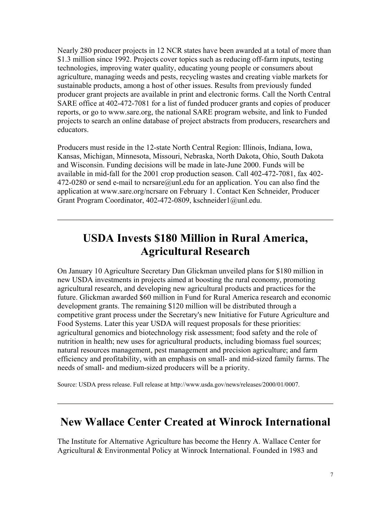Nearly 280 producer projects in 12 NCR states have been awarded at a total of more than \$1.3 million since 1992. Projects cover topics such as reducing off-farm inputs, testing technologies, improving water quality, educating young people or consumers about agriculture, managing weeds and pests, recycling wastes and creating viable markets for sustainable products, among a host of other issues. Results from previously funded producer grant projects are available in print and electronic forms. Call the North Central SARE office at 402-472-7081 for a list of funded producer grants and copies of producer reports, or go to www.sare.org, the national SARE program website, and link to Funded projects to search an online database of project abstracts from producers, researchers and educators.

Producers must reside in the 12-state North Central Region: Illinois, Indiana, Iowa, Kansas, Michigan, Minnesota, Missouri, Nebraska, North Dakota, Ohio, South Dakota and Wisconsin. Funding decisions will be made in late-June 2000. Funds will be available in mid-fall for the 2001 crop production season. Call 402-472-7081, fax 402- 472-0280 or send e-mail to ncrsare@unl.edu for an application. You can also find the application at www.sare.org/ncrsare on February 1. Contact Ken Schneider, Producer Grant Program Coordinator, 402-472-0809, kschneider1@unl.edu.

# **USDA Invests \$180 Million in Rural America, Agricultural Research**

On January 10 Agriculture Secretary Dan Glickman unveiled plans for \$180 million in new USDA investments in projects aimed at boosting the rural economy, promoting agricultural research, and developing new agricultural products and practices for the future. Glickman awarded \$60 million in Fund for Rural America research and economic development grants. The remaining \$120 million will be distributed through a competitive grant process under the Secretary's new Initiative for Future Agriculture and Food Systems. Later this year USDA will request proposals for these priorities: agricultural genomics and biotechnology risk assessment; food safety and the role of nutrition in health; new uses for agricultural products, including biomass fuel sources; natural resources management, pest management and precision agriculture; and farm efficiency and profitability, with an emphasis on small- and mid-sized family farms. The needs of small- and medium-sized producers will be a priority.

Source: USDA press release. Full release at http://www.usda.gov/news/releases/2000/01/0007.

#### **New Wallace Center Created at Winrock International**

The Institute for Alternative Agriculture has become the Henry A. Wallace Center for Agricultural & Environmental Policy at Winrock International. Founded in 1983 and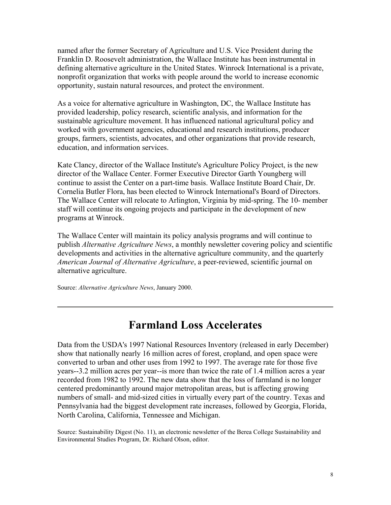named after the former Secretary of Agriculture and U.S. Vice President during the Franklin D. Roosevelt administration, the Wallace Institute has been instrumental in defining alternative agriculture in the United States. Winrock International is a private, nonprofit organization that works with people around the world to increase economic opportunity, sustain natural resources, and protect the environment.

As a voice for alternative agriculture in Washington, DC, the Wallace Institute has provided leadership, policy research, scientific analysis, and information for the sustainable agriculture movement. It has influenced national agricultural policy and worked with government agencies, educational and research institutions, producer groups, farmers, scientists, advocates, and other organizations that provide research, education, and information services.

Kate Clancy, director of the Wallace Institute's Agriculture Policy Project, is the new director of the Wallace Center. Former Executive Director Garth Youngberg will continue to assist the Center on a part-time basis. Wallace Institute Board Chair, Dr. Cornelia Butler Flora, has been elected to Winrock International's Board of Directors. The Wallace Center will relocate to Arlington, Virginia by mid-spring. The 10- member staff will continue its ongoing projects and participate in the development of new programs at Winrock.

The Wallace Center will maintain its policy analysis programs and will continue to publish *Alternative Agriculture News*, a monthly newsletter covering policy and scientific developments and activities in the alternative agriculture community, and the quarterly *American Journal of Alternative Agriculture*, a peer-reviewed, scientific journal on alternative agriculture.

Source: *Alternative Agriculture News*, January 2000.

#### **Farmland Loss Accelerates**

Data from the USDA's 1997 National Resources Inventory (released in early December) show that nationally nearly 16 million acres of forest, cropland, and open space were converted to urban and other uses from 1992 to 1997. The average rate for those five years--3.2 million acres per year--is more than twice the rate of 1.4 million acres a year recorded from 1982 to 1992. The new data show that the loss of farmland is no longer centered predominantly around major metropolitan areas, but is affecting growing numbers of small- and mid-sized cities in virtually every part of the country. Texas and Pennsylvania had the biggest development rate increases, followed by Georgia, Florida, North Carolina, California, Tennessee and Michigan.

Source: Sustainability Digest (No. 11), an electronic newsletter of the Berea College Sustainability and Environmental Studies Program, Dr. Richard Olson, editor.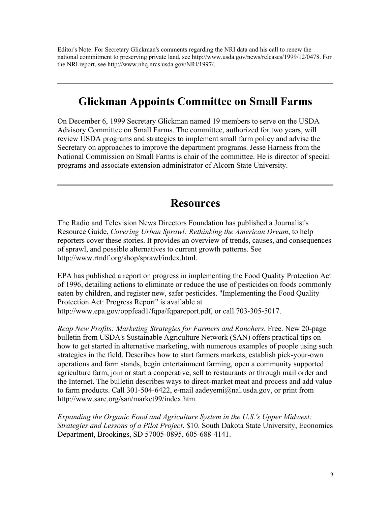Editor's Note: For Secretary Glickman's comments regarding the NRI data and his call to renew the national commitment to preserving private land, see http://www.usda.gov/news/releases/1999/12/0478. For the NRI report, see http://www.nhq.nrcs.usda.gov/NRI/1997/.

# **Glickman Appoints Committee on Small Farms**

On December 6, 1999 Secretary Glickman named 19 members to serve on the USDA Advisory Committee on Small Farms. The committee, authorized for two years, will review USDA programs and strategies to implement small farm policy and advise the Secretary on approaches to improve the department programs. Jesse Harness from the National Commission on Small Farms is chair of the committee. He is director of special programs and associate extension administrator of Alcorn State University.

#### **Resources**

The Radio and Television News Directors Foundation has published a Journalist's Resource Guide, *Covering Urban Sprawl: Rethinking the American Dream*, to help reporters cover these stories. It provides an overview of trends, causes, and consequences of sprawl, and possible alternatives to current growth patterns. See http://www.rtndf.org/shop/sprawl/index.html.

EPA has published a report on progress in implementing the Food Quality Protection Act of 1996, detailing actions to eliminate or reduce the use of pesticides on foods commonly eaten by children, and register new, safer pesticides. "Implementing the Food Quality Protection Act: Progress Report" is available at http://www.epa.gov/oppfead1/fqpa/fqpareport.pdf, or call 703-305-5017.

*Reap New Profits: Marketing Strategies for Farmers and Ranchers*. Free. New 20-page bulletin from USDA's Sustainable Agriculture Network (SAN) offers practical tips on how to get started in alternative marketing, with numerous examples of people using such strategies in the field. Describes how to start farmers markets, establish pick-your-own operations and farm stands, begin entertainment farming, open a community supported agriculture farm, join or start a cooperative, sell to restaurants or through mail order and the Internet. The bulletin describes ways to direct-market meat and process and add value to farm products. Call 301-504-6422, e-mail aadeyemi@nal.usda.gov, or print from http://www.sare.org/san/market99/index.htm.

*Expanding the Organic Food and Agriculture System in the U.S.'s Upper Midwest: Strategies and Lessons of a Pilot Project*. \$10. South Dakota State University, Economics Department, Brookings, SD 57005-0895, 605-688-4141.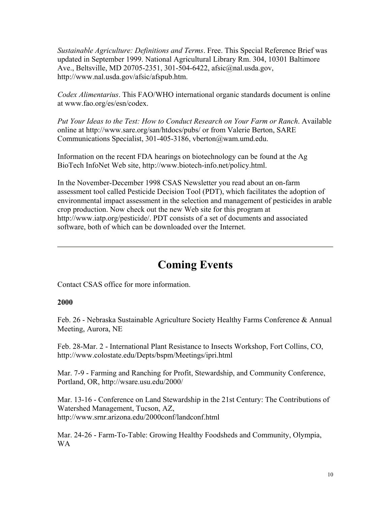*Sustainable Agriculture: Definitions and Terms*. Free. This Special Reference Brief was updated in September 1999. National Agricultural Library Rm. 304, 10301 Baltimore Ave., Beltsville, MD 20705-2351, 301-504-6422, afsic@nal.usda.gov, http://www.nal.usda.gov/afsic/afspub.htm.

*Codex Alimentarius*. This FAO/WHO international organic standards document is online at www.fao.org/es/esn/codex.

*Put Your Ideas to the Test: How to Conduct Research on Your Farm or Ranch*. Available online at http://www.sare.org/san/htdocs/pubs/ or from Valerie Berton, SARE Communications Specialist, 301-405-3186, vberton@wam.umd.edu.

Information on the recent FDA hearings on biotechnology can be found at the Ag BioTech InfoNet Web site, http://www.biotech-info.net/policy.html.

In the November-December 1998 CSAS Newsletter you read about an on-farm assessment tool called Pesticide Decision Tool (PDT), which facilitates the adoption of environmental impact assessment in the selection and management of pesticides in arable crop production. Now check out the new Web site for this program at http://www.iatp.org/pesticide/. PDT consists of a set of documents and associated software, both of which can be downloaded over the Internet.

# **Coming Events**

Contact CSAS office for more information.

#### **2000**

Feb. 26 - Nebraska Sustainable Agriculture Society Healthy Farms Conference & Annual Meeting, Aurora, NE

Feb. 28-Mar. 2 - International Plant Resistance to Insects Workshop, Fort Collins, CO, http://www.colostate.edu/Depts/bspm/Meetings/ipri.html

Mar. 7-9 - Farming and Ranching for Profit, Stewardship, and Community Conference, Portland, OR, http://wsare.usu.edu/2000/

Mar. 13-16 - Conference on Land Stewardship in the 21st Century: The Contributions of Watershed Management, Tucson, AZ, http://www.srnr.arizona.edu/2000conf/landconf.html

Mar. 24-26 - Farm-To-Table: Growing Healthy Foodsheds and Community, Olympia, WA